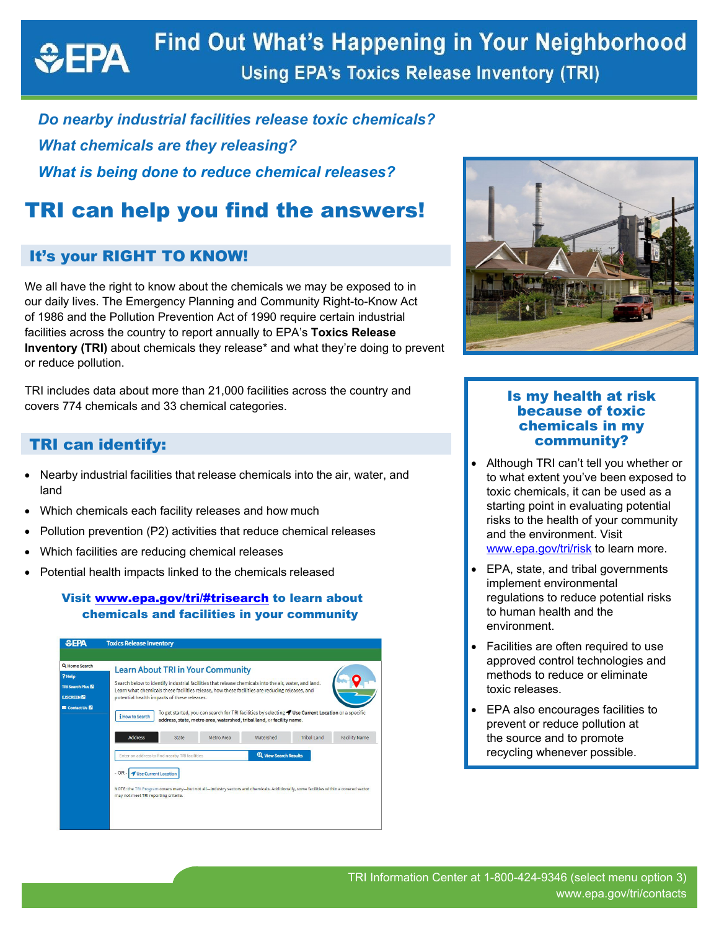### **Find Out What's Happening in Your Neighborhood**  $EPA$ **Using EPA's Toxics Release Inventory (TRI)**

## *Do nearby industrial facilities release toxic chemicals? What chemicals are they releasing? What is being done to reduce chemical releases?*

# TRI can help you find the answers!

### It's your RIGHT TO KNOW!

We all have the right to know about the chemicals we may be exposed to in our daily lives. The Emergency Planning and Community Right-to-Know Act of 1986 and the Pollution Prevention Act of 1990 require certain industrial facilities across the country to report annually to EPA's **Toxics Release Inventory (TRI)** about chemicals they release\* and what they're doing to prevent or reduce pollution.

TRI includes data about more than 21,000 facilities across the country and covers 774 chemicals and 33 chemical categories.

### TRI can identify:

- Nearby industrial facilities that release chemicals into the air, water, and land
- Which chemicals each facility releases and how much
- Pollution prevention (P2) activities that reduce chemical releases
- Which facilities are reducing chemical releases
- Potential health impacts linked to the chemicals released

#### Visit [www.epa.gov/tri/#trisearch](https://www.epa.gov/tri/#trisearch) to learn about chemicals and facilities in your community





#### Is my health at risk because of toxic chemicals in my community?

- Although TRI can't tell you whether or to what extent you've been exposed to toxic chemicals, it can be used as a starting point in evaluating potential risks to the health of your community and the environment. Visit [www.epa.gov/tri/risk](https://www.epa.gov/tri/risk) to learn more.
- EPA, state, and tribal governments implement environmental regulations to reduce potential risks to human health and the environment.
- Facilities are often required to use approved control technologies and methods to reduce or eliminate toxic releases.
- EPA also encourages facilities to prevent or reduce pollution at the source and to promote recycling whenever possible.